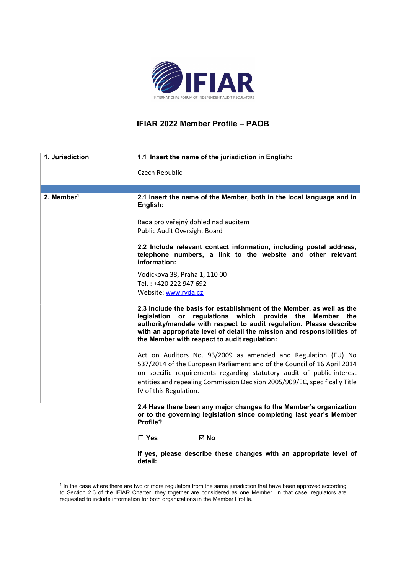

## IFIAR 2022 Member Profile – PAOB

| 1. Jurisdiction        | 1.1 Insert the name of the jurisdiction in English:                                                                                                                                                                                                                                                                                            |
|------------------------|------------------------------------------------------------------------------------------------------------------------------------------------------------------------------------------------------------------------------------------------------------------------------------------------------------------------------------------------|
|                        | Czech Republic                                                                                                                                                                                                                                                                                                                                 |
|                        |                                                                                                                                                                                                                                                                                                                                                |
| 2. Member <sup>1</sup> | 2.1 Insert the name of the Member, both in the local language and in<br>English:                                                                                                                                                                                                                                                               |
|                        | Rada pro veřejný dohled nad auditem<br>Public Audit Oversight Board                                                                                                                                                                                                                                                                            |
|                        | 2.2 Include relevant contact information, including postal address,<br>telephone numbers, a link to the website and other relevant<br>information:                                                                                                                                                                                             |
|                        | Vodickova 38, Praha 1, 110 00                                                                                                                                                                                                                                                                                                                  |
|                        | Tel.: +420 222 947 692                                                                                                                                                                                                                                                                                                                         |
|                        | Website: www.rvda.cz                                                                                                                                                                                                                                                                                                                           |
|                        | 2.3 Include the basis for establishment of the Member, as well as the<br>regulations which<br>provide the<br>legislation<br>Member the<br>or<br>authority/mandate with respect to audit regulation. Please describe<br>with an appropriate level of detail the mission and responsibilities of<br>the Member with respect to audit regulation: |
|                        | Act on Auditors No. 93/2009 as amended and Regulation (EU) No<br>537/2014 of the European Parliament and of the Council of 16 April 2014<br>on specific requirements regarding statutory audit of public-interest<br>entities and repealing Commission Decision 2005/909/EC, specifically Title<br>IV of this Regulation.                      |
|                        | 2.4 Have there been any major changes to the Member's organization<br>or to the governing legislation since completing last year's Member<br>Profile?                                                                                                                                                                                          |
|                        | $\Box$ Yes<br>M No                                                                                                                                                                                                                                                                                                                             |
|                        | If yes, please describe these changes with an appropriate level of<br>detail:                                                                                                                                                                                                                                                                  |

<sup>&</sup>lt;sup>1</sup> In the case where there are two or more regulators from the same jurisdiction that have been approved according to Section 2.3 of the IFIAR Charter, they together are considered as one Member. In that case, regulators are requested to include information for both organizations in the Member Profile.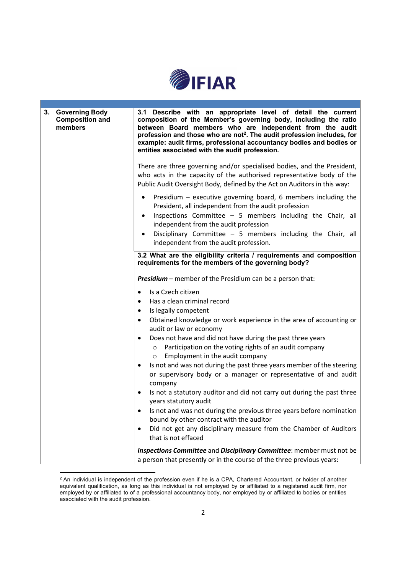

| 3. Governing Body<br><b>Composition and</b><br>members | 3.1 Describe with an appropriate level of detail the current<br>composition of the Member's governing body, including the ratio<br>between Board members who are independent from the audit<br>profession and those who are not <sup>2</sup> . The audit profession includes, for<br>example: audit firms, professional accountancy bodies and bodies or<br>entities associated with the audit profession. |
|--------------------------------------------------------|------------------------------------------------------------------------------------------------------------------------------------------------------------------------------------------------------------------------------------------------------------------------------------------------------------------------------------------------------------------------------------------------------------|
|                                                        | There are three governing and/or specialised bodies, and the President,<br>who acts in the capacity of the authorised representative body of the<br>Public Audit Oversight Body, defined by the Act on Auditors in this way:                                                                                                                                                                               |
|                                                        | Presidium $-$ executive governing board, 6 members including the<br>٠<br>President, all independent from the audit profession<br>Inspections Committee $-5$ members including the Chair, all<br>$\bullet$<br>independent from the audit profession<br>Disciplinary Committee $-5$ members including the Chair, all<br>independent from the audit profession.                                               |
|                                                        | 3.2 What are the eligibility criteria / requirements and composition<br>requirements for the members of the governing body?                                                                                                                                                                                                                                                                                |
|                                                        | <b>Presidium</b> – member of the Presidium can be a person that:                                                                                                                                                                                                                                                                                                                                           |
|                                                        | Is a Czech citizen                                                                                                                                                                                                                                                                                                                                                                                         |
|                                                        | Has a clean criminal record<br>٠                                                                                                                                                                                                                                                                                                                                                                           |
|                                                        | Is legally competent<br>٠                                                                                                                                                                                                                                                                                                                                                                                  |
|                                                        | Obtained knowledge or work experience in the area of accounting or<br>$\bullet$<br>audit or law or economy                                                                                                                                                                                                                                                                                                 |
|                                                        | Does not have and did not have during the past three years<br>$\bullet$<br>Participation on the voting rights of an audit company<br>$\circ$<br>Employment in the audit company<br>$\circ$                                                                                                                                                                                                                 |
|                                                        | Is not and was not during the past three years member of the steering<br>٠<br>or supervisory body or a manager or representative of and audit<br>company                                                                                                                                                                                                                                                   |
|                                                        | Is not a statutory auditor and did not carry out during the past three<br>$\bullet$<br>years statutory audit                                                                                                                                                                                                                                                                                               |
|                                                        | Is not and was not during the previous three years before nomination<br>bound by other contract with the auditor                                                                                                                                                                                                                                                                                           |
|                                                        | Did not get any disciplinary measure from the Chamber of Auditors<br>$\bullet$<br>that is not effaced                                                                                                                                                                                                                                                                                                      |
|                                                        | Inspections Committee and Disciplinary Committee: member must not be<br>a person that presently or in the course of the three previous years:                                                                                                                                                                                                                                                              |

 $2$  An individual is independent of the profession even if he is a CPA, Chartered Accountant, or holder of another equivalent qualification, as long as this individual is not employed by or affiliated to a registered audit firm, nor employed by or affiliated to of a professional accountancy body, nor employed by or affiliated to bodies or entities associated with the audit profession.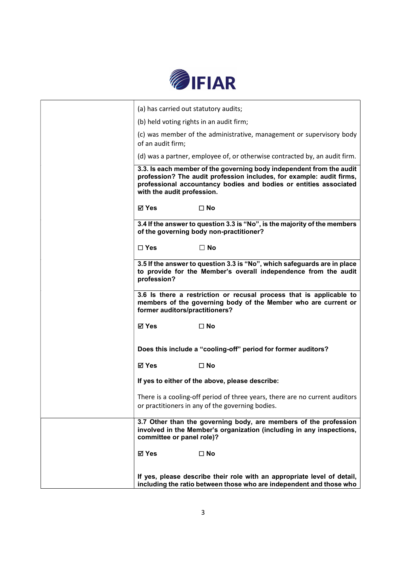

| (a) has carried out statutory audits;    |                                                                                                                                                                                                                   |
|------------------------------------------|-------------------------------------------------------------------------------------------------------------------------------------------------------------------------------------------------------------------|
| (b) held voting rights in an audit firm; |                                                                                                                                                                                                                   |
| of an audit firm;                        | (c) was member of the administrative, management or supervisory body                                                                                                                                              |
|                                          | (d) was a partner, employee of, or otherwise contracted by, an audit firm.                                                                                                                                        |
| with the audit profession.               | 3.3. Is each member of the governing body independent from the audit<br>profession? The audit profession includes, for example: audit firms,<br>professional accountancy bodies and bodies or entities associated |
| <b>⊠</b> Yes                             | $\square$ No                                                                                                                                                                                                      |
|                                          | 3.4 If the answer to question 3.3 is "No", is the majority of the members<br>of the governing body non-practitioner?                                                                                              |
| $\Box$ Yes                               | $\Box$ No                                                                                                                                                                                                         |
| profession?                              | 3.5 If the answer to question 3.3 is "No", which safeguards are in place<br>to provide for the Member's overall independence from the audit                                                                       |
| former auditors/practitioners?           | 3.6 Is there a restriction or recusal process that is applicable to<br>members of the governing body of the Member who are current or                                                                             |
| <b>⊠</b> Yes                             | $\square$ No                                                                                                                                                                                                      |
|                                          | Does this include a "cooling-off" period for former auditors?                                                                                                                                                     |
| <b>⊠ Yes</b>                             | $\square$ No                                                                                                                                                                                                      |
|                                          | If yes to either of the above, please describe:                                                                                                                                                                   |
|                                          | There is a cooling-off period of three years, there are no current auditors<br>or practitioners in any of the governing bodies.                                                                                   |
| committee or panel role)?                | 3.7 Other than the governing body, are members of the profession<br>involved in the Member's organization (including in any inspections,                                                                          |
| ⊠ Yes                                    | $\square$ No                                                                                                                                                                                                      |
|                                          | If yes, please describe their role with an appropriate level of detail,<br>including the ratio between those who are independent and those who                                                                    |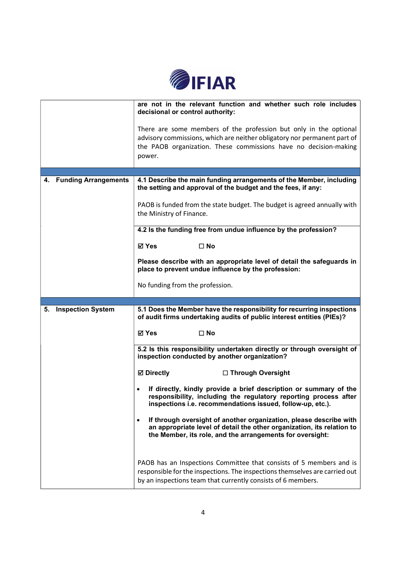

|                         | are not in the relevant function and whether such role includes<br>decisional or control authority:                                                                                                                         |  |  |
|-------------------------|-----------------------------------------------------------------------------------------------------------------------------------------------------------------------------------------------------------------------------|--|--|
|                         | There are some members of the profession but only in the optional<br>advisory commissions, which are neither obligatory nor permanent part of<br>the PAOB organization. These commissions have no decision-making<br>power. |  |  |
|                         |                                                                                                                                                                                                                             |  |  |
| 4. Funding Arrangements | 4.1 Describe the main funding arrangements of the Member, including<br>the setting and approval of the budget and the fees, if any:                                                                                         |  |  |
|                         | PAOB is funded from the state budget. The budget is agreed annually with<br>the Ministry of Finance.                                                                                                                        |  |  |
|                         | 4.2 Is the funding free from undue influence by the profession?                                                                                                                                                             |  |  |
|                         | ⊠ Yes<br>$\square$ No                                                                                                                                                                                                       |  |  |
|                         | Please describe with an appropriate level of detail the safeguards in<br>place to prevent undue influence by the profession:                                                                                                |  |  |
|                         | No funding from the profession.                                                                                                                                                                                             |  |  |
|                         |                                                                                                                                                                                                                             |  |  |
| 5. Inspection System    | 5.1 Does the Member have the responsibility for recurring inspections<br>of audit firms undertaking audits of public interest entities (PIEs)?                                                                              |  |  |
|                         | <b>☑ Yes</b><br>$\square$ No                                                                                                                                                                                                |  |  |
|                         | 5.2 Is this responsibility undertaken directly or through oversight of<br>inspection conducted by another organization?                                                                                                     |  |  |
|                         | <b>Ø</b> Directly<br>□ Through Oversight                                                                                                                                                                                    |  |  |
|                         | If directly, kindly provide a brief description or summary of the<br>responsibility, including the regulatory reporting process after<br>inspections i.e. recommendations issued, follow-up, etc.).                         |  |  |
|                         | If through oversight of another organization, please describe with<br>$\bullet$<br>an appropriate level of detail the other organization, its relation to<br>the Member, its role, and the arrangements for oversight:      |  |  |
|                         | PAOB has an Inspections Committee that consists of 5 members and is<br>responsible for the inspections. The inspections themselves are carried out<br>by an inspections team that currently consists of 6 members.          |  |  |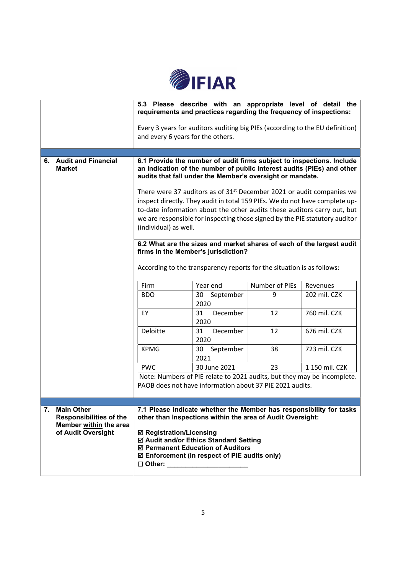

|                                              |                                                               |                                                                                                                                                                                                                                                                                                                                                                                                                                                    | requirements and practices regarding the frequency of inspections: |                | 5.3 Please describe with an appropriate level of detail the<br>Every 3 years for auditors auditing big PIEs (according to the EU definition) |
|----------------------------------------------|---------------------------------------------------------------|----------------------------------------------------------------------------------------------------------------------------------------------------------------------------------------------------------------------------------------------------------------------------------------------------------------------------------------------------------------------------------------------------------------------------------------------------|--------------------------------------------------------------------|----------------|----------------------------------------------------------------------------------------------------------------------------------------------|
|                                              |                                                               | and every 6 years for the others.                                                                                                                                                                                                                                                                                                                                                                                                                  |                                                                    |                |                                                                                                                                              |
|                                              |                                                               |                                                                                                                                                                                                                                                                                                                                                                                                                                                    |                                                                    |                |                                                                                                                                              |
|                                              | 6. Audit and Financial<br><b>Market</b>                       | 6.1 Provide the number of audit firms subject to inspections. Include<br>an indication of the number of public interest audits (PIEs) and other<br>audits that fall under the Member's oversight or mandate.<br>There were 37 auditors as of $31st$ December 2021 or audit companies we<br>inspect directly. They audit in total 159 PIEs. We do not have complete up-<br>to-date information about the other audits these auditors carry out, but |                                                                    |                |                                                                                                                                              |
|                                              |                                                               | we are responsible for inspecting those signed by the PIE statutory auditor<br>(individual) as well.                                                                                                                                                                                                                                                                                                                                               |                                                                    |                |                                                                                                                                              |
|                                              |                                                               | firms in the Member's jurisdiction?<br>According to the transparency reports for the situation is as follows:                                                                                                                                                                                                                                                                                                                                      |                                                                    |                | 6.2 What are the sizes and market shares of each of the largest audit                                                                        |
|                                              |                                                               | Firm                                                                                                                                                                                                                                                                                                                                                                                                                                               | Year end                                                           | Number of PIEs | Revenues                                                                                                                                     |
|                                              |                                                               | <b>BDO</b>                                                                                                                                                                                                                                                                                                                                                                                                                                         | September<br>30<br>2020                                            | 9              | 202 mil. CZK                                                                                                                                 |
|                                              |                                                               | EY                                                                                                                                                                                                                                                                                                                                                                                                                                                 | December<br>31<br>2020                                             | 12             | 760 mil. CZK                                                                                                                                 |
|                                              |                                                               | Deloitte                                                                                                                                                                                                                                                                                                                                                                                                                                           | December<br>31<br>2020                                             | 12             | 676 mil. CZK                                                                                                                                 |
|                                              |                                                               | <b>KPMG</b>                                                                                                                                                                                                                                                                                                                                                                                                                                        | 30 September<br>2021                                               | 38             | 723 mil. CZK                                                                                                                                 |
|                                              |                                                               | <b>PWC</b>                                                                                                                                                                                                                                                                                                                                                                                                                                         | 30 June 2021                                                       | 23             | 1 150 mil. CZK                                                                                                                               |
|                                              |                                                               |                                                                                                                                                                                                                                                                                                                                                                                                                                                    |                                                                    |                | Note: Numbers of PIE relate to 2021 audits, but they may be incomplete.                                                                      |
|                                              |                                                               |                                                                                                                                                                                                                                                                                                                                                                                                                                                    | PAOB does not have information about 37 PIE 2021 audits.           |                |                                                                                                                                              |
|                                              |                                                               |                                                                                                                                                                                                                                                                                                                                                                                                                                                    |                                                                    |                |                                                                                                                                              |
| 7.                                           | <b>Main Other</b><br><b>Responsibilities of the</b>           | 7.1 Please indicate whether the Member has responsibility for tasks<br>other than Inspections within the area of Audit Oversight:                                                                                                                                                                                                                                                                                                                  |                                                                    |                |                                                                                                                                              |
| Member within the area<br>of Audit Oversight | <b>Ø Registration/Licensing</b><br>$\square$ Other: $\square$ | ☑ Audit and/or Ethics Standard Setting<br>☑ Permanent Education of Auditors<br>☑ Enforcement (in respect of PIE audits only)                                                                                                                                                                                                                                                                                                                       |                                                                    |                |                                                                                                                                              |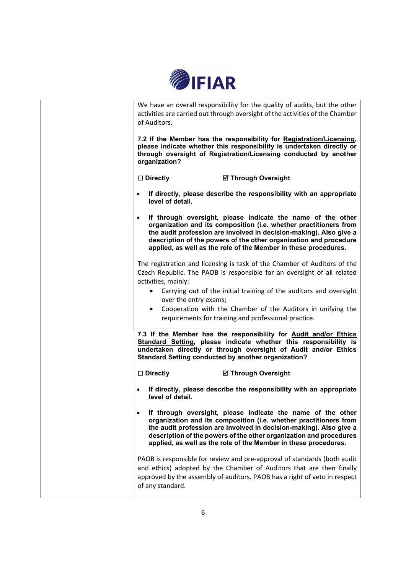

| We have an overall responsibility for the quality of audits, but the other<br>activities are carried out through oversight of the activities of the Chamber<br>of Auditors.<br>7.2 If the Member has the responsibility for Registration/Licensing,<br>please indicate whether this responsibility is undertaken directly or<br>through oversight of Registration/Licensing conducted by another |
|--------------------------------------------------------------------------------------------------------------------------------------------------------------------------------------------------------------------------------------------------------------------------------------------------------------------------------------------------------------------------------------------------|
| organization?<br>$\square$ Directly<br><b>Ø Through Oversight</b>                                                                                                                                                                                                                                                                                                                                |
| If directly, please describe the responsibility with an appropriate<br>$\bullet$<br>level of detail.                                                                                                                                                                                                                                                                                             |
| If through oversight, please indicate the name of the other<br>$\bullet$<br>organization and its composition (i.e. whether practitioners from<br>the audit profession are involved in decision-making). Also give a<br>description of the powers of the other organization and procedure<br>applied, as well as the role of the Member in these procedures.                                      |
| The registration and licensing is task of the Chamber of Auditors of the<br>Czech Republic. The PAOB is responsible for an oversight of all related<br>activities, mainly:                                                                                                                                                                                                                       |
| Carrying out of the initial training of the auditors and oversight<br>$\bullet$<br>over the entry exams;<br>Cooperation with the Chamber of the Auditors in unifying the<br>$\bullet$                                                                                                                                                                                                            |
| requirements for training and professional practice.                                                                                                                                                                                                                                                                                                                                             |
| 7.3 If the Member has the responsibility for Audit and/or Ethics<br>Standard Setting, please indicate whether this responsibility is<br>undertaken directly or through oversight of Audit and/or Ethics<br>Standard Setting conducted by another organization?                                                                                                                                   |
| $\square$ Directly<br><b>Ø Through Oversight</b>                                                                                                                                                                                                                                                                                                                                                 |
| If directly, please describe the responsibility with an appropriate<br>level of detail.                                                                                                                                                                                                                                                                                                          |
| If through oversight, please indicate the name of the other<br>$\bullet$<br>organization and its composition (i.e. whether practitioners from<br>the audit profession are involved in decision-making). Also give a<br>description of the powers of the other organization and procedures<br>applied, as well as the role of the Member in these procedures.                                     |
| PAOB is responsible for review and pre-approval of standards (both audit<br>and ethics) adopted by the Chamber of Auditors that are then finally<br>approved by the assembly of auditors. PAOB has a right of veto in respect<br>of any standard.                                                                                                                                                |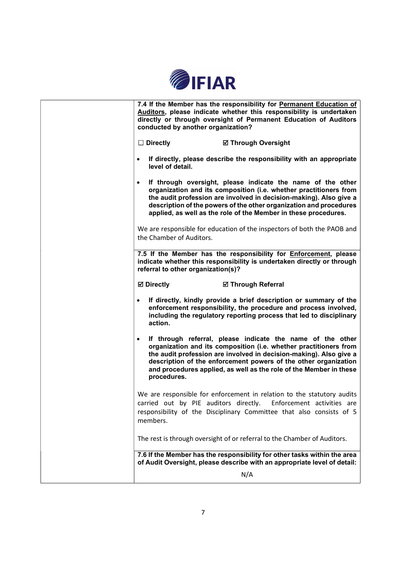

| 7.4 If the Member has the responsibility for Permanent Education of<br>Auditors, please indicate whether this responsibility is undertaken<br>directly or through oversight of Permanent Education of Auditors<br>conducted by another organization?                                                                                                                       |
|----------------------------------------------------------------------------------------------------------------------------------------------------------------------------------------------------------------------------------------------------------------------------------------------------------------------------------------------------------------------------|
| $\Box$ Directly<br><b>Ø Through Oversight</b>                                                                                                                                                                                                                                                                                                                              |
| If directly, please describe the responsibility with an appropriate<br>level of detail.                                                                                                                                                                                                                                                                                    |
| If through oversight, please indicate the name of the other<br>$\bullet$<br>organization and its composition (i.e. whether practitioners from<br>the audit profession are involved in decision-making). Also give a<br>description of the powers of the other organization and procedures<br>applied, as well as the role of the Member in these procedures.               |
| We are responsible for education of the inspectors of both the PAOB and<br>the Chamber of Auditors.                                                                                                                                                                                                                                                                        |
| 7.5 If the Member has the responsibility for <b>Enforcement</b> , please<br>indicate whether this responsibility is undertaken directly or through<br>referral to other organization(s)?                                                                                                                                                                                   |
| <b>⊠</b> Directly<br><b>Ø Through Referral</b>                                                                                                                                                                                                                                                                                                                             |
| If directly, kindly provide a brief description or summary of the<br>enforcement responsibility, the procedure and process involved,                                                                                                                                                                                                                                       |
| including the regulatory reporting process that led to disciplinary<br>action.                                                                                                                                                                                                                                                                                             |
| If through referral, please indicate the name of the other<br>$\bullet$<br>organization and its composition (i.e. whether practitioners from<br>the audit profession are involved in decision-making). Also give a<br>description of the enforcement powers of the other organization<br>and procedures applied, as well as the role of the Member in these<br>procedures. |
| We are responsible for enforcement in relation to the statutory audits<br>carried out by PIE auditors directly. Enforcement activities are<br>responsibility of the Disciplinary Committee that also consists of 5<br>members.                                                                                                                                             |
| The rest is through oversight of or referral to the Chamber of Auditors.                                                                                                                                                                                                                                                                                                   |
| 7.6 If the Member has the responsibility for other tasks within the area<br>of Audit Oversight, please describe with an appropriate level of detail:                                                                                                                                                                                                                       |